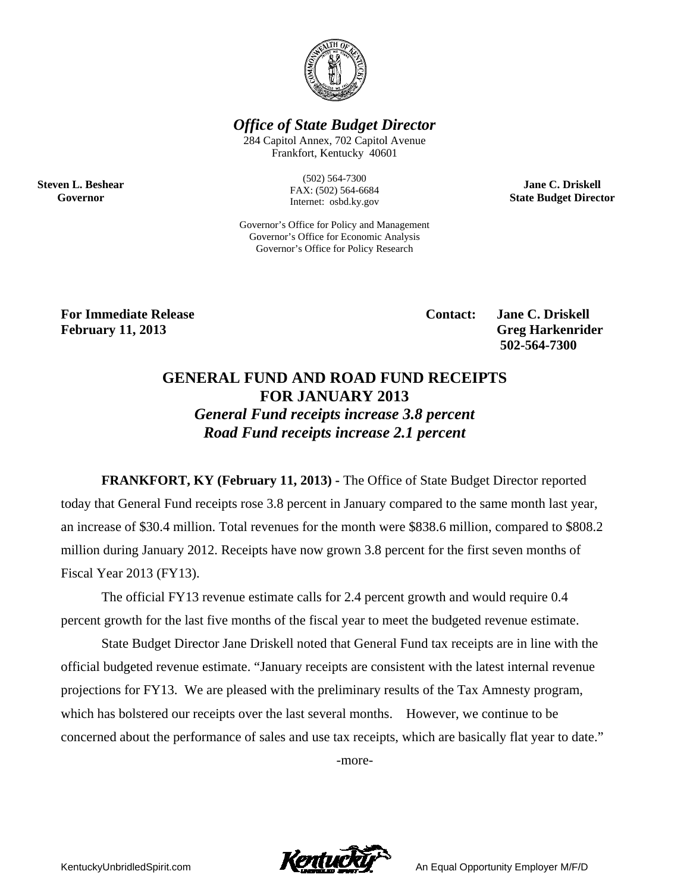

**Office of State Budget Director** 

284 Capitol Annex, 702 Capitol Avenue Frankfort, Kentucky 40601

> $(502) 564 - 7300$ FAX: (502) 564-6684 Internet: osbd.ky.gov

Governor's Office for Policy and Management Governor's Office for Economic Analysis Governor's Office for Policy Research

**Jane C. Driskell State Budget Director** 

**For Immediate Release February 11, 2013** 

**Steven L. Beshear** 

Governor

**Contact:** 

**Jane C. Driskell Greg Harkenrider** 502-564-7300

## **GENERAL FUND AND ROAD FUND RECEIPTS FOR JANUARY 2013 General Fund receipts increase 3.8 percent** Road Fund receipts increase 2.1 percent

**FRANKFORT, KY (February 11, 2013)** - The Office of State Budget Director reported today that General Fund receipts rose 3.8 percent in January compared to the same month last year, an increase of \$30.4 million. Total revenues for the month were \$838.6 million, compared to \$808.2 million during January 2012. Receipts have now grown 3.8 percent for the first seven months of Fiscal Year 2013 (FY13).

The official FY13 revenue estimate calls for 2.4 percent growth and would require 0.4 percent growth for the last five months of the fiscal year to meet the budgeted revenue estimate.

State Budget Director Jane Driskell noted that General Fund tax receipts are in line with the official budgeted revenue estimate. "January receipts are consistent with the latest internal revenue projections for FY13. We are pleased with the preliminary results of the Tax Amnesty program, which has bolstered our receipts over the last several months. However, we continue to be concerned about the performance of sales and use tax receipts, which are basically flat year to date."

-more-



An Equal Opportunity Employer M/F/D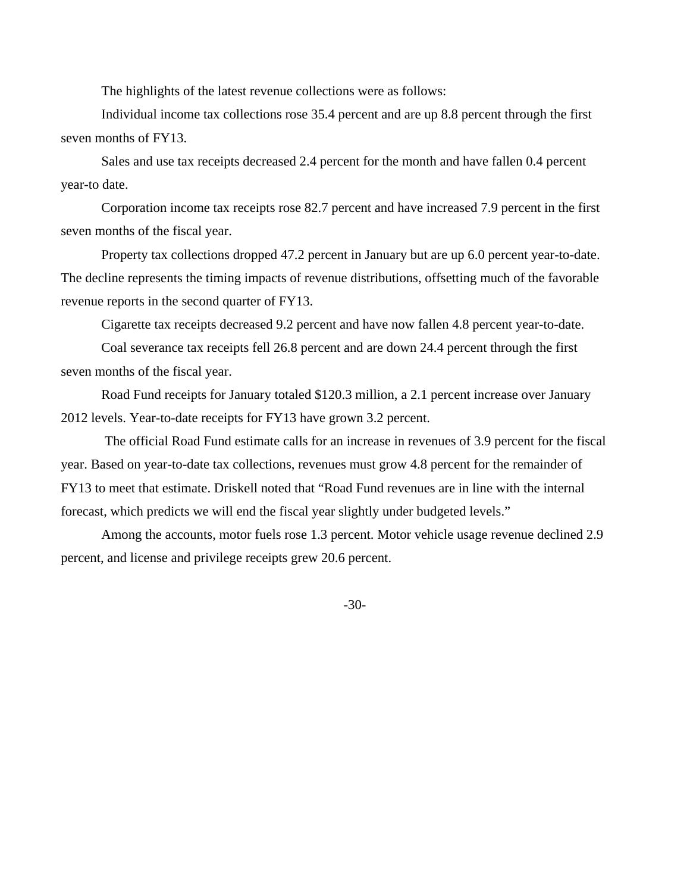The highlights of the latest revenue collections were as follows:

Individual income tax collections rose 35.4 percent and are up 8.8 percent through the first seven months of FY13.

Sales and use tax receipts decreased 2.4 percent for the month and have fallen 0.4 percent year-to date.

Corporation income tax receipts rose 82.7 percent and have increased 7.9 percent in the first seven months of the fiscal year.

Property tax collections dropped 47.2 percent in January but are up 6.0 percent year-to-date. The decline represents the timing impacts of revenue distributions, offsetting much of the favorable revenue reports in the second quarter of FY13.

Cigarette tax receipts decreased 9.2 percent and have now fallen 4.8 percent year-to-date.

Coal severance tax receipts fell 26.8 percent and are down 24.4 percent through the first seven months of the fiscal year.

Road Fund receipts for January totaled \$120.3 million, a 2.1 percent increase over January 2012 levels. Year-to-date receipts for FY13 have grown 3.2 percent.

 The official Road Fund estimate calls for an increase in revenues of 3.9 percent for the fiscal year. Based on year-to-date tax collections, revenues must grow 4.8 percent for the remainder of FY13 to meet that estimate. Driskell noted that "Road Fund revenues are in line with the internal forecast, which predicts we will end the fiscal year slightly under budgeted levels."

Among the accounts, motor fuels rose 1.3 percent. Motor vehicle usage revenue declined 2.9 percent, and license and privilege receipts grew 20.6 percent.

-30-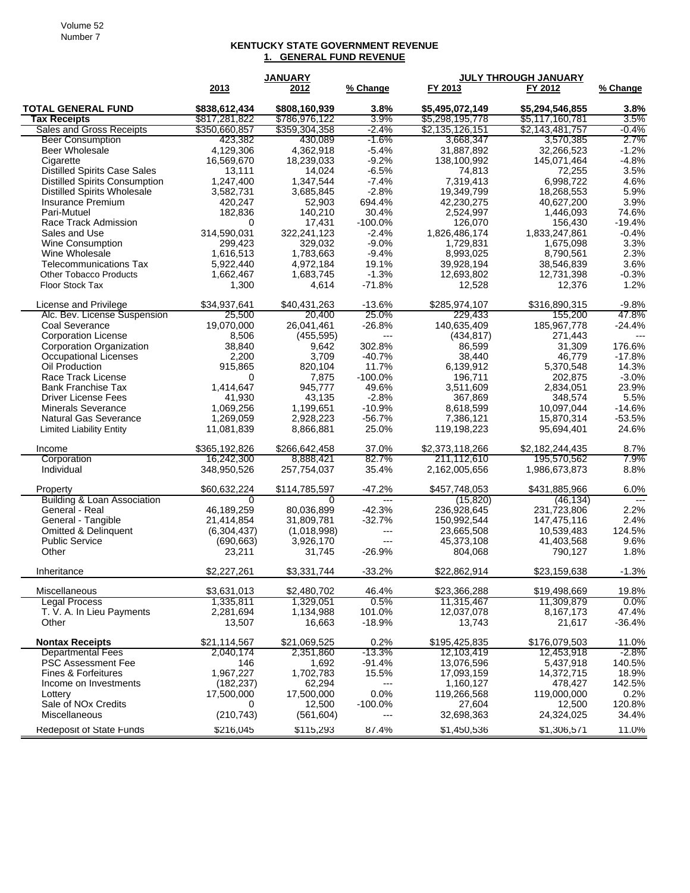## **KENTUCKY STATE GOVERNMENT REVENUE 1. GENERAL FUND REVENUE**

|                                                    | <b>JANUARY</b>         |                        |                   | <b>JULY THROUGH JANUARY</b> |                            |                          |  |
|----------------------------------------------------|------------------------|------------------------|-------------------|-----------------------------|----------------------------|--------------------------|--|
|                                                    | 2013                   | 2012                   | % Change          | FY 2013                     | FY 2012                    | % Change                 |  |
| <b>TOTAL GENERAL FUND</b>                          | \$838,612,434          | \$808,160,939          | 3.8%              | \$5,495,072,149             | \$5,294,546,855            | $3.8\%$                  |  |
| <b>Tax Receipts</b>                                | \$817,281,822          | \$786,976,122          | 3.9%              | \$5,298,195,778             | \$5,117,160,781            | 3.5%                     |  |
| Sales and Gross Receipts                           | \$350,660,857          | \$359,304,358          | -2.4%             | \$2,135,126,151             | \$2,143,481,757            | -0.4%                    |  |
| <b>Beer Consumption</b>                            | 423,382                | 430,089                | $-1.6%$           | 3,668,347                   | 3,570,385                  | 2.7%                     |  |
| Beer Wholesale                                     | 4,129,306              | 4,362,918              | $-5.4%$           | 31,887,892                  | 32,266,523                 | $-1.2%$                  |  |
| Cigarette                                          | 16,569,670             | 18,239,033             | $-9.2%$           | 138,100,992                 | 145,071,464                | $-4.8%$                  |  |
| <b>Distilled Spirits Case Sales</b>                | 13,111                 | 14,024                 | $-6.5%$           | 74,813                      | 72,255                     | 3.5%                     |  |
| <b>Distilled Spirits Consumption</b>               | 1,247,400              | 1,347,544              | $-7.4%$           | 7,319,413                   | 6,998,722                  | 4.6%                     |  |
| <b>Distilled Spirits Wholesale</b>                 | 3,582,731              | 3,685,845              | $-2.8%$           | 19,349,799                  | 18,268,553                 | 5.9%                     |  |
| Insurance Premium                                  | 420,247                | 52,903                 | 694.4%            | 42,230,275                  | 40,627,200                 | 3.9%                     |  |
| Pari-Mutuel                                        | 182,836                | 140,210                | 30.4%             | 2,524,997                   | 1,446,093                  | 74.6%                    |  |
| Race Track Admission                               | 0                      | 17,431                 | $-100.0%$         | 126,070                     | 156,430                    | $-19.4%$                 |  |
| Sales and Use                                      | 314,590,031            | 322,241,123            | $-2.4%$           | 1,826,486,174               | 1,833,247,861              | $-0.4%$                  |  |
| Wine Consumption<br>Wine Wholesale                 | 299,423                | 329,032                | $-9.0%$           | 1,729,831                   | 1,675,098                  | 3.3%<br>2.3%             |  |
| <b>Telecommunications Tax</b>                      | 1,616,513<br>5,922,440 | 1,783,663<br>4,972,184 | $-9.4%$<br>19.1%  | 8,993,025<br>39,928,194     | 8,790,561<br>38,546,839    | 3.6%                     |  |
| <b>Other Tobacco Products</b>                      | 1,662,467              | 1,683,745              | $-1.3%$           | 12,693,802                  | 12,731,398                 | $-0.3%$                  |  |
| Floor Stock Tax                                    | 1,300                  | 4,614                  | $-71.8%$          | 12,528                      | 12,376                     | 1.2%                     |  |
|                                                    |                        |                        |                   |                             |                            |                          |  |
| License and Privilege                              | \$34,937,641           | \$40,431,263           | $-13.6%$          | \$285.974.107               | \$316,890,315              | $-9.8%$                  |  |
| Alc. Bev. License Suspension                       | 25,500                 | 20,400                 | 25.0%             | 229.433                     | 155,200                    | 47.8%                    |  |
| Coal Severance                                     | 19,070,000             | 26,041,461             | $-26.8%$          | 140,635,409                 | 185,967,778                | $-24.4%$                 |  |
| <b>Corporation License</b>                         | 8,506                  | (455, 595)<br>9,642    | ---<br>302.8%     | (434, 817)<br>86,599        | 271,443                    | $\overline{a}$<br>176.6% |  |
| Corporation Organization<br>Occupational Licenses  | 38,840<br>2,200        | 3,709                  | $-40.7%$          | 38,440                      | 31,309<br>46,779           | $-17.8%$                 |  |
| Oil Production                                     | 915,865                | 820,104                | 11.7%             | 6,139,912                   | 5,370,548                  | 14.3%                    |  |
| Race Track License                                 | 0                      | 7,875                  | $-100.0%$         | 196,711                     | 202,875                    | $-3.0%$                  |  |
| <b>Bank Franchise Tax</b>                          | 1,414,647              | 945,777                | 49.6%             | 3,511,609                   | 2,834,051                  | 23.9%                    |  |
| Driver License Fees                                | 41,930                 | 43,135                 | $-2.8%$           | 367,869                     | 348,574                    | 5.5%                     |  |
| <b>Minerals Severance</b>                          | 1,069,256              | 1,199,651              | $-10.9%$          | 8,618,599                   | 10,097,044                 | $-14.6%$                 |  |
| Natural Gas Severance                              | 1,269,059              | 2,928,223              | $-56.7%$          | 7,386,121                   | 15,870,314                 | $-53.5%$                 |  |
| <b>Limited Liability Entity</b>                    | 11,081,839             | 8,866,881              | 25.0%             | 119,198,223                 | 95,694,401                 | 24.6%                    |  |
| Income                                             | \$365,192,826          | \$266,642,458          | 37.0%             | \$2,373,118,266             | \$2,182,244,435            | 8.7%                     |  |
| Corporation                                        | 16,242,300             | 8,888,421              | 82.7%             | 211,112,610                 | 195,570,562                | 7.9%                     |  |
| Individual                                         | 348,950,526            | 257,754,037            | 35.4%             | 2,162,005,656               | 1,986,673,873              | 8.8%                     |  |
|                                                    |                        |                        |                   |                             |                            |                          |  |
| Property<br><b>Building &amp; Loan Association</b> | \$60,632,224<br>0      | \$114,785,597<br>0     | $-47.2%$<br>$---$ | \$457,748,053<br>(15, 820)  | \$431,885,966<br>(46, 134) | 6.0%<br>$\overline{a}$   |  |
| General - Real                                     | 46,189,259             | 80,036,899             | $-42.3%$          | 236,928,645                 | 231,723,806                | 2.2%                     |  |
| General - Tangible                                 | 21,414,854             | 31,809,781             | $-32.7%$          | 150,992,544                 | 147,475,116                | 2.4%                     |  |
| Omitted & Delinquent                               | (6,304,437)            | (1,018,998)            | ---               | 23,665,508                  | 10,539,483                 | 124.5%                   |  |
| <b>Public Service</b>                              | (690, 663)             | 3,926,170              | $---$             | 45,373,108                  | 41,403,568                 | 9.6%                     |  |
| Other                                              | 23,211                 | 31,745                 | $-26.9%$          | 804,068                     | 790,127                    | 1.8%                     |  |
| Inheritance                                        | \$2,227,261            | \$3,331,744            | $-33.2%$          | \$22,862,914                | \$23,159,638               | $-1.3%$                  |  |
| Miscellaneous                                      | \$3,631,013            | \$2,480,702            | 46.4%             | \$23,366,288                | \$19,498,669               | 19.8%                    |  |
| <b>Legal Process</b>                               | 1,335,811              | 1,329,051              | 0.5%              | 11,315,467                  | 11,309,879                 | 0.0%                     |  |
| T. V. A. In Lieu Payments                          | 2,281,694              | 1,134,988              | 101.0%            | 12,037,078                  | 8,167,173                  | 47.4%                    |  |
| Other                                              | 13,507                 | 16,663                 | $-18.9%$          | 13,743                      | 21,617                     | $-36.4%$                 |  |
| <b>Nontax Receipts</b>                             | \$21,114,567           | \$21,069,525           | 0.2%              | \$195,425,835               | \$176,079,503              | 11.0%                    |  |
| <b>Departmental Fees</b>                           | 2,040,174              | 2,351,860              | $-13.3%$          | 12,103,419                  | 12,453,918                 | -2.8%                    |  |
| <b>PSC Assessment Fee</b>                          | 146                    | 1,692                  | $-91.4%$          | 13,076,596                  | 5,437,918                  | 140.5%                   |  |
| <b>Fines &amp; Forfeitures</b>                     | 1,967,227              | 1,702,783              | 15.5%             | 17,093,159                  | 14,372,715                 | 18.9%                    |  |
| Income on Investments                              | (182, 237)             | 62,294                 | ---               | 1,160,127                   | 478,427                    | 142.5%                   |  |
| Lottery                                            | 17,500,000             | 17,500,000             | 0.0%              | 119,266,568                 | 119,000,000                | 0.2%                     |  |
| Sale of NOx Credits                                | 0                      | 12,500                 | $-100.0%$         | 27,604                      | 12,500                     | 120.8%                   |  |
| Miscellaneous                                      | (210, 743)             | (561, 604)             | ---               | 32,698,363                  | 24,324,025                 | 34.4%                    |  |
| Redeposit of State Funds                           | \$216,045              | \$115,293              | 87.4%             | \$1,450,536                 | \$1,306,571                | 11.0%                    |  |